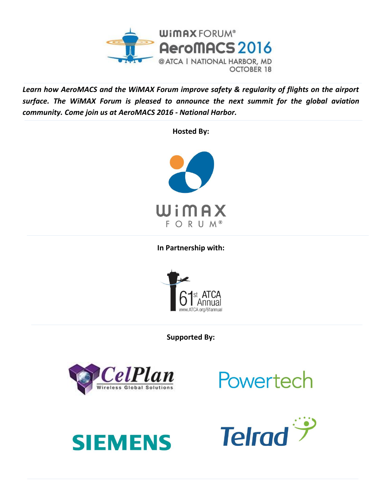

*Learn how AeroMACS and the WiMAX Forum improve safety & regularity of flights on the airport surface. The WiMAX Forum is pleased to announce the next summit for the global aviation community. Come join us at AeroMACS 2016 - National Harbor.*

**Hosted By:**



**In Partnership with:**



**Supported By:**



Powertech



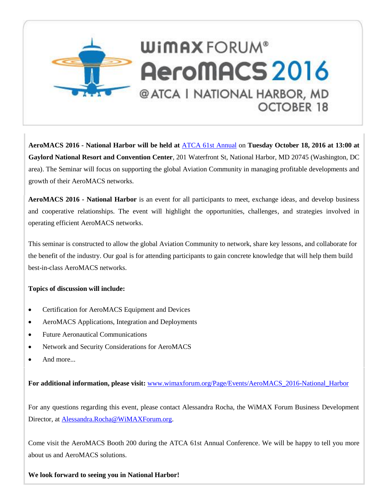

**AeroMACS 2016 - National Harbor will be held at** [ATCA 61st](http://www.atca.org/61annual) Annual on **Tuesday October 18, 2016 at 13:00 at Gaylord National Resort and Convention Center**, 201 Waterfront St, National Harbor, MD 20745 (Washington, DC area). The Seminar will focus on supporting the global Aviation Community in managing profitable developments and growth of their AeroMACS networks.

**AeroMACS 2016 - National Harbor** is an event for all participants to meet, exchange ideas, and develop business and cooperative relationships. The event will highlight the opportunities, challenges, and strategies involved in operating efficient AeroMACS networks.

This seminar is constructed to allow the global Aviation Community to network, share key lessons, and collaborate for the benefit of the industry. Our goal is for attending participants to gain concrete knowledge that will help them build best-in-class AeroMACS networks.

## **Topics of discussion will include:**

- Certification for AeroMACS Equipment and Devices
- AeroMACS Applications, Integration and Deployments
- Future Aeronautical Communications
- Network and Security Considerations for AeroMACS
- And more...

**For additional information, please visit:** [www.wimaxforum.org/Page/Events/AeroMACS\\_2016-National\\_Harbor](http://www.wimaxforum.org/Page/Events/AeroMACS_2016-National_Harbor)

For any questions regarding this event, please contact Alessandra Rocha, the WiMAX Forum Business Development Director, at [Alessandra.Rocha@WiMAXForum.org.](mailto:Alessandra.Rocha@WiMAXForum.org)

Come visit the AeroMACS Booth 200 during the ATCA 61st Annual Conference. We will be happy to tell you more about us and AeroMACS solutions.

**We look forward to seeing you in National Harbor!**